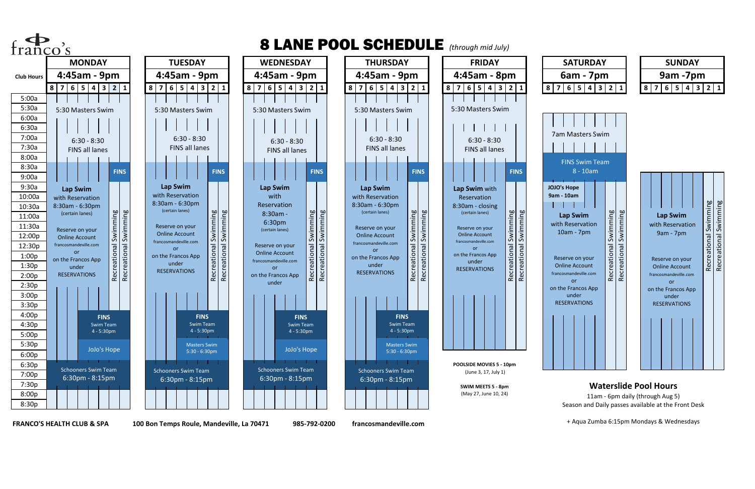**FRANCO'S HEALTH CLUB & SPA 100 Bon Temps Roule, Mandeville, La 70471 985-792-0200 francosmandeville.com**